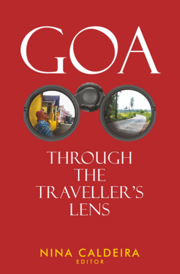

# THROUGH **THE** TRAVELLER'S **LENS**

NINA CALDEIRA **EDITOR**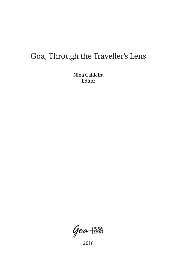## <span id="page-1-0"></span>Goa, Through the Traveller's Lens

Nina Caldeira Editor

 $90a + \frac{556}{256}$ 

2018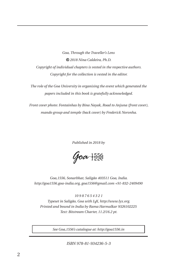*Goa, Through the Traveller's Lens 2018 Nina Caldeira, Ph.D. Copyright of individual chapters is vested in the respective authors. Copyright for the collection is vested in the editor.*

*The role of the Goa University in organising the event which generated the papers included in this book is gratefully acknowledged.*

*Front cover photo: Fontainhas by Bina Nayak, Road to Anjuna (front cover), mando group and temple (back cover) by Frederick Noronha.*

*Published in 2018 by*

 $Qoa + \frac{556}{228}$ 

*Goa,1556, Sonarbhat, Saligão 403511 Goa, India. http://goa1556.goa-india.org, goa1556@gmail.com +91-832-2409490*

*10 9 8 7 6 5 4 3 2 1 Typeset in Saligão, Goa with LYX, http://www.lyx.org. Printed and bound in India by Rama Harmalkar 9326102225 Text: Bitstream Charter, 11.2/16.2 pt.*

*See Goa,1556's catalogue at: http://goa1556.in*

*ISBN 978-81-934236-5-3*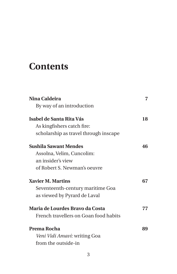## **Contents**

| Nina Caldeira                         | 7  |
|---------------------------------------|----|
| By way of an introduction             |    |
| Isabel de Santa Rita Vás              | 18 |
| As kingfishers catch fire:            |    |
| scholarship as travel through inscape |    |
| Sushila Sawant Mendes                 | 46 |
| Assolna, Velim, Cuncolim:             |    |
| an insider's view                     |    |
| of Robert S. Newman's oeuvre          |    |
| <b>Xavier M. Martins</b>              | 67 |
| Seventeenth-century maritime Goa      |    |
| as viewed by Pyrard de Laval          |    |
| Maria de Lourdes Bravo da Costa       | 77 |
| French travellers on Goan food habits |    |
| Prema Rocha                           | 89 |
| <i>Veni Vidi Amavi:</i> writing Goa   |    |
| from the outside-in                   |    |
|                                       |    |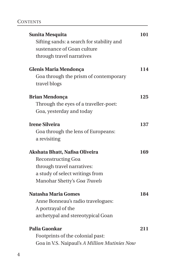| <b>Sunita Mesquita</b><br>Sifting sands: a search for stability and<br>sustenance of Goan culture<br>through travel narratives | 101 |
|--------------------------------------------------------------------------------------------------------------------------------|-----|
| Glenis Maria Mendonça                                                                                                          | 114 |
| Goa through the prism of contemporary<br>travel blogs                                                                          |     |
| <b>Brian Mendonça</b>                                                                                                          | 125 |
| Through the eyes of a traveller-poet:                                                                                          |     |
| Goa, yesterday and today                                                                                                       |     |
| <b>Irene Silveira</b>                                                                                                          | 137 |
| Goa through the lens of Europeans:                                                                                             |     |
| a revisiting                                                                                                                   |     |
| Akshata Bhatt, Nafisa Oliveira                                                                                                 | 169 |
| <b>Reconstructing Goa</b>                                                                                                      |     |
| through travel narratives:                                                                                                     |     |
| a study of select writings from                                                                                                |     |
| Manohar Shetty's Goa Travels                                                                                                   |     |
| <b>Natasha Maria Gomes</b>                                                                                                     | 184 |
| Anne Bonneau's radio travelogues:                                                                                              |     |
| A portrayal of the                                                                                                             |     |
| archetypal and stereotypical Goan                                                                                              |     |
| Palia Gaonkar                                                                                                                  | 211 |
| Footprints of the colonial past:                                                                                               |     |
| Goa in V.S. Naipaul's A Million Mutinies Now                                                                                   |     |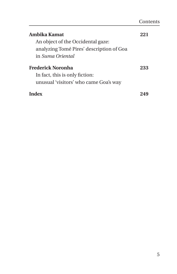| Ambika Kamat                             | ソソー |
|------------------------------------------|-----|
| An object of the Occidental gaze:        |     |
| analyzing Tomé Pires' description of Goa |     |
| in Suma Oriental                         |     |
| Frederick Noronha                        | 233 |
| In fact, this is only fiction:           |     |
| unusual 'visitors' who came Goa's way    |     |
|                                          |     |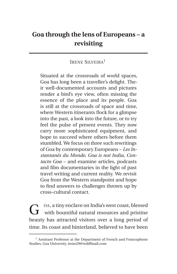### **Goa through the lens of Europeans – a revisiting**

#### IRENE SILVEIRA<sup>[1](#page-6-0)</sup>

Situated at the crossroads of world spaces, Goa has long been a traveller's delight. Their well-documented accounts and pictures render a bird's eye view, often missing the essence of the place and its people. Goa is still at the crossroads of space and time, where Western itinerants flock for a glimpse into the past, a look into the future, or to try feel the pulse of present events. They now carry more sophisticated equipment, and hope to succeed where others before them stumbled. We focus on three such rewritings of Goa by contemporary Europeans – *Les Instantanés du Monde, Goa is not India, Contacto Goa –* and examine articles, podcasts and film documentaries in the light of past travel writing and current reality. We revisit Goa from the Western standpoint and hope to find answers to challenges thrown up by cross-cultural contact.

G OA, a tiny enclave on India's west coast, blessed<br>with bountiful natural resources and pristine OA, a tiny enclave on India's west coast, blessed beauty has attracted visitors over a long period of time. Its coast and hinterland, believed to have been

<span id="page-6-0"></span><sup>&</sup>lt;sup>1</sup> Assistant Professor at the Department of French and Francophone Studies, Goa University. irene29@rediffmail.com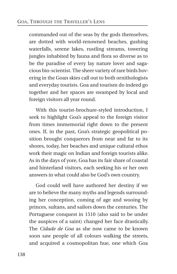commanded out of the seas by the gods themselves, are dotted with world-renowned beaches, gushing waterfalls, serene lakes, rustling streams, towering jungles inhabited by fauna and flora so diverse as to be the paradise of every lay nature lover and sagacious bio-scientist. The sheer variety of rare birds hovering in the Goan skies call out to both ornithologists and everyday tourists. Goa and tourism do indeed go together and her spaces are swamped by local and foreign visitors all year round.

With this tourist-brochure-styled introduction, I seek to highlight Goa's appeal to the foreign visitor from times immemorial right down to the present ones. If, in the past, Goa's strategic geopolitical position brought conquerors from near and far to its shores, today, her beaches and unique cultural ethos work their magic on Indian and foreign tourists alike. As in the days of yore, Goa has its fair share of coastal and hinterland visitors, each seeking his or her own answers in what could also be God's own country.

God could well have authored her destiny if we are to believe the many myths and legends surrounding her conception, coming of age and wooing by princes, sultans, and sailors down the centuries. The Portuguese conquest in 1510 (also said to be under the auspices of a saint) changed her face drastically. The *Cidade de Goa* as she now came to be known soon saw people of all colours walking the streets, and acquired a cosmopolitan hue, one which Goa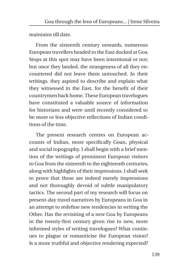maintains till date.

From the sixteenth century onwards, numerous European travellers headed to the East docked at Goa. Stops at this spot may have been intentional or not; but once they landed, the strangeness of all they encountered did not leave them untouched. In their writings, they aspired to describe and explain what they witnessed in the East, for the benefit of their countrymen back home. These European travelogues have constituted a valuable source of information for historians and were until recently considered to be more or less objective reflections of Indian conditions of the time.

The present research centres on European accounts of Indian, more specifically Goan, physical and social topography. I shall begin with a brief mention of the writings of prominent European visitors to Goa from the sixteenth to the eighteenth centuries, along with highlights of their impressions. I shall seek to prove that these are indeed merely impressions and not thoroughly devoid of subtle manipulatory tactics. The second part of my research will focus on present-day travel narratives by Europeans in Goa in an attempt to redefine new tendencies in writing the Other. Has the revisiting of a new Goa by Europeans in the twenty-first century given rise to new, more informed styles of writing travelogues? What continues to plague or romanticise the European vision? Is a more truthful and objective rendering expected?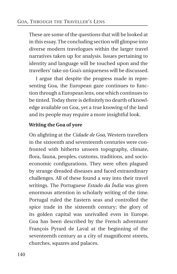These are some of the questions that will be looked at in this essay. The concluding section will glimpse into diverse modern travelogues within the larger travel narratives taken up for analysis. Issues pertaining to identity and language will be touched upon and the travellers' take on Goa's uniqueness will be discussed.

I argue that despite the progress made in representing Goa, the European gaze continues to function through a European lens, one which continues to be tinted. Today there is definitely no dearth of knowledge available on Goa, yet a true knowing of the land and its people may require a more insightful look.

#### **Writing the Goa of yore**

On alighting at the *Cidade de Goa*, Western travellers in the sixteenth and seventeenth centuries were confronted with hitherto unseen topography, climate, flora, fauna, peoples, customs, traditions, and socioeconomic configurations. They were often plagued by strange dreaded diseases and faced extraordinary challenges. All of these found a way into their travel writings. The Portuguese *Estado da Índia* was given enormous attention in scholarly writing of the time. Portugal ruled the Eastern seas and controlled the spice trade in the sixteenth century; the glory of its golden capital was unrivalled even in Europe. Goa has been described by the French adventurer François Pyrard de Laval at the beginning of the seventeenth century as a city of magnificent streets, churches, squares and palaces.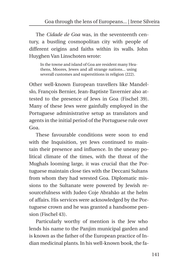The *Cidade de Goa* was, in the seventeenth century, a bustling cosmopolitan city with people of different origins and faiths within its walls. John Huyghen Van Linschoten wrote:

In the towne and island of Goa are resident many Heathens, Moores, Jewes and all strange nations... using severall customes and superstitions in religion (222).

Other well-known European travellers like Mandelslo, François Bernier, Jean-Baptiste Tavernier also attested to the presence of Jews in Goa (Fischel 39). Many of these Jews were gainfully employed in the Portuguese administrative setup as translators and agents in the initial period of the Portuguese rule over Goa.

These favourable conditions were soon to end with the Inquisition, yet Jews continued to maintain their presence and influence. In the uneasy political climate of the times, with the threat of the Mughals looming large, it was crucial that the Portuguese maintain close ties with the Deccani Sultans from whom they had wrested Goa. Diplomatic missions to the Sultanate were powered by Jewish resourcefulness with Judeo Coje Abrahão at the helm of affairs. His services were acknowledged by the Portuguese crown and he was granted a handsome pension (Fischel 43).

Particularly worthy of mention is the Jew who lends his name to the Panjim municipal garden and is known as the father of the European practice of Indian medicinal plants. In his well-known book, the fa-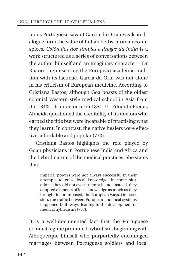mous Portuguese savant Garcia da Orta reveals in dialogue form the value of Indian herbs, aromatics and spices. *Colóquios dos simples e drogas da India* is a work structured as a series of conversations between the author himself and an imaginary character – Dr. Ruano – representing the European academic tradition with its lacunae. Garcia da Orta was not alone in his criticism of European medicine. According to Cristiana Bastos, although Goa boasts of the oldest colonial Western-style medical school in Asia from the 1840s, its director from 1854-71, Eduardo Freitas Almeida questioned the credibility of its doctors who earned the title but were incapable of practising what they learnt. In contrast, the native healers were effective, affordable and popular (770).

Cristiana Bastos highlights the role played by Goan physicians in Portuguese India and Africa and the hybrid nature of the medical practices. She states that:

imperial powers were not always successful in their attempts to erase local knowledge. In some situations, they did not even attempt it and, instead, they adopted elements of local knowledge as much as they brought in, or imposed, the European ways. On occasion, the traffic between European and local systems happened both ways, leading to the development of medical hybridisms (768).

It is a well-documented fact that the Portuguese colonial regime promoted hybridism, beginning with Albuquerque himself who purportedly encouraged marriages between Portuguese soldiers and local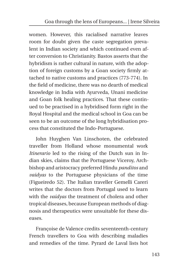women. However, this racialised narrative leaves room for doubt given the caste segregation prevalent in Indian society and which continued even after conversion to Christianity. Bastos asserts that the hybridism is rather cultural in nature, with the adoption of foreign customs by a Goan society firmly attached to native customs and practices (773-774). In the field of medicine, there was no dearth of medical knowledge in India with Ayurveda, Unani medicine and Goan folk healing practices. That these continued to be practised in a hybridised form right in the Royal Hospital and the medical school in Goa can be seen to be an outcome of the long hybridisation process that constituted the Indo-Portuguese.

John Huyghen Van Linschoten, the celebrated traveller from Holland whose monumental work *Itinerario* led to the rising of the Dutch sun in Indian skies, claims that the Portuguese Viceroy, Archbishop and aristocracy preferred Hindu *panditos* and *vaidyas* to the Portuguese physicians of the time (Figueiredo 52). The Italian traveller Gemelli Careri writes that the doctors from Portugal used to learn with the *vaidyas* the treatment of cholera and other tropical diseases, because European methods of diagnosis and therapeutics were unsuitable for these diseases.

Françoise de Valence credits seventeenth-century French travellers to Goa with describing maladies and remedies of the time. Pyrard de Laval lists hot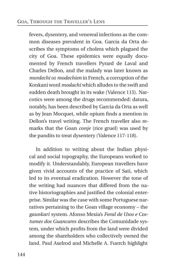fevers, dysentery, and venereal infections as the common diseases prevalent in Goa. Garcia da Orta describes the symptoms of cholera which plagued the city of Goa. These epidemics were equally documented by French travellers Pyrard de Laval and Charles Dellon, and the malady was later known as *mordechi* or *modechien* in French, a corruption of the Konkani word *modachi* which alludes to the swift and sudden death brought in its wake (Valence 115). Narcotics were among the drugs recommended: datura, notably, has been described by Garcia da Orta as well as by Jean Mocquet, while opium finds a mention in Dellon's travel writing. The French traveller also remarks that the Goan *conje* (rice gruel) was used by the pandits to treat dysentery (Valence 117-118).

In addition to writing about the Indian physical and social topography, the Europeans worked to modify it. Understandably, European travellers have given vivid accounts of the practice of Sati, which led to its eventual eradication. However the tone of the writing had nuances that differed from the native historiographies and justified the colonial enterprise. Similar was the case with some Portuguese narratives pertaining to the Goan village economy – the *gaunkari* system. Afonso Mexia's *Foral de Usos e Costumes dos Guancares* describes the Comunidade system, under which profits from the land were divided among the shareholders who collectively owned the land. Paul Axelrod and Michelle A. Fuerch highlight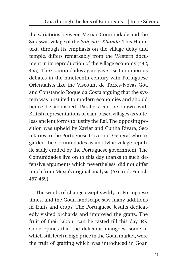the variations between Mexia's Comunidade and the Saraswat village of the *Sahyadri Khanda*. This Hindu text, through its emphasis on the village deity and temple, differs remarkably from the Western document in its reproduction of the village economy (442, 455). The Comunidades again gave rise to numerous debates in the nineteenth century with Portuguese Orientalists like the Viscount de Torres-Novas Goa and Constancio Roque da Costa arguing that the system was unsuited to modern economies and should hence be abolished. Parallels can be drawn with British representations of clan-based villages as stateless ancient forms to justify the Raj. The opposing position was upheld by Xavier and Cunha Rivara, Secretaries to the Portuguese Governor-General who regarded the Comunidades as an idyllic village republic sadly eroded by the Portuguese government. The Comunidades live on to this day thanks to such defensive arguments which nevertheless, did not differ much from Mexia's original analysis (Axelrod, Fuerch 457-459).

The winds of change swept swiftly in Portuguese times, and the Goan landscape saw many additions in fruits and crops. The Portuguese Jesuits dedicatedly visited orchards and improved the grafts. The fruit of their labour can be tasted till this day. P.K. Gode opines that the delicious mangoes, some of which still fetch a high price in the Goan market, were the fruit of grafting which was introduced in Goan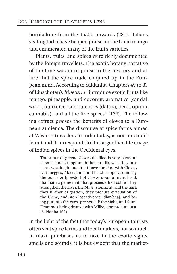horticulture from the 1550's onwards (281). Italians visiting India have heaped praise on the Goan mango and enumerated many of the fruit's varieties.

Plants, fruits, and spices were richly documented by the foreign travellers. The exotic botany narrative of the time was in response to the mystery and allure that the spice trade conjured up in the European mind. According to Saldanha, Chapters 49 to 83 of Linschoten's *Itinerario* "introduce exotic fruits like mango, pineapple, and coconut; aromatics (sandalwood, frankincense); narcotics (datura, betel, opium, cannabis); and all the fine spices" (162). The following extract praises the benefits of cloves to a European audience. The discourse at spice farms aimed at Western travellers to India today, is not much different and it corresponds to the larger than life image of Indian spices in the Occidental eyes.

The water of greene Cloves distilled is very pleasant of smel, and strengthneth the hart, likewise they procure sweating in men that have the Pox, with Cloves, Nut megges, Mace, long and black Pepper; some lay the poul der [powder] of Cloves upon a mans head, that hath a paine in it, that proceedeth of colde. They strengthen the Liver, the Maw [stomach], and the hart, they further di gestion, they procure evacuation of the Urine, and stop lascativenes [diarrhea], and being put into the eyes, pre served! the sight, and foure Drammes being drunke with Milke, doe procure lust. (Saldanha 162)

In the light of the fact that today's European tourists often visit spice farms and local markets, not so much to make purchases as to take in the exotic sights, smells and sounds, it is but evident that the market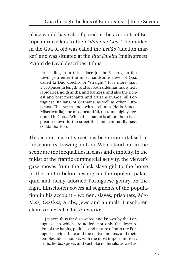place would have also figured in the accounts of European travellers to the *Cidade de Goa*. The market in the Goa of old was called the *Leilão* (auction market) and was situated at the *Rua Direita* (main street). Pyrard de Laval describes it thus:

Proceeding from this palace [of the Viceroy] to the town, you enter the most handsome street of Goa, called la Duo drecho, or "straight." It is more than 1,500 paces in length, and on both sides has many rich lapidaries, goldsmiths, and bankers, and also the richest and best merchants and artisans in Goa, all Portuguese, Italians, or Germans, as well as other Europeans. This street ends with a church [de la Sancta Misericordia], the most beautiful, rich, and highly decorated in Goa.... While this market is afoot, there is so great a crowd in the street that one can hardly pass (Saldanha 163).

This iconic market street has been immortalised in Linschoten's drawing on Goa. What stand out in the scene are the inequalities in class and ethnicity. In the midst of the frantic commercial activity, the viewer's gaze moves from the black slave girl to the horse in the centre before resting on the opulent palanquin and richly adorned Portuguese gentry on the right. Linschoten covers all segments of the population in his account – women, slaves, prisoners, *Mesticos, Castisos*, Arabs, Jews and animals. Linschoten claims to reveal in his *Itinerario*:

[...] places thus far discovered and known by the Portuguese; to which are added, not only the description of the habits, polities, and nature of both the Portuguese living there and the native Indians, and their temples, idols, houses, with the most important trees, fruits, herbs, spices, and suchlike materials, as well as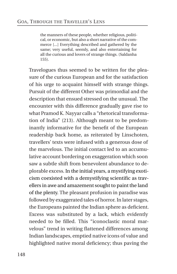the manners of these people, whether religious, political, or economic, but also a short narrative of the commerce [...] Everything described and gathered by the same; very useful, seemly, and also entertaining for all the curious and lovers of strange things. (Saldanha 155).

Travelogues thus seemed to be written for the pleasure of the curious European and for the satisfaction of his urge to acquaint himself with strange things. Pursuit of the different Other was primordial and the description that ensued stressed on the unusual. The encounter with this difference gradually gave rise to what Pramod K. Nayyar calls a "rhetorical transformation of India" (213). Although meant to be predominantly informative for the benefit of the European readership back home, as reiterated by Linschoten, travellers' texts were infused with a generous dose of the marvelous. The initial contact led to an accumulative account bordering on exaggeration which soon saw a subtle shift from benevolent abundance to deplorable excess. In the initial years, a mystifying exoticism coexisted with a demystifying scientific as travellers in awe and amazement sought to paint the land of the plenty. The pleasant profusion in paradise was followed by exaggerated tales of horror. In later stages, the Europeans painted the Indian sphere as deficient. Excess was substituted by a lack, which evidently needed to be filled. This "iconoclastic moral marvelous" trend in writing flattened differences among Indian landscapes, emptied native icons of value and highlighted native moral deficiency; thus paving the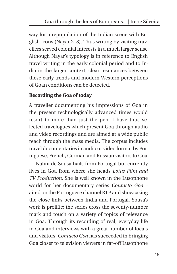way for a repopulation of the Indian scene with English icons (Nayar 218). Thus writing by visiting travellers served colonial interests in a much larger sense. Although Nayar's typology is in reference to English travel writing in the early colonial period and to India in the larger context, clear resonances between these early trends and modern Western perceptions of Goan conditions can be detected.

#### **Recording the Goa of today**

A traveller documenting his impressions of Goa in the present technologically advanced times would resort to more than just the pen. I have thus selected travelogues which present Goa through audio and video recordings and are aimed at a wide public reach through the mass media. The corpus includes travel documentaries in audio or video format by Portuguese, French, German and Russian visitors to Goa.

Nalini de Sousa hails from Portugal but currently lives in Goa from where she heads *Lotus Film and TV Production*. She is well known in the Lusophone world for her documentary series *Contacto Goa* – aired on the Portuguese channel RTP and showcasing the close links between India and Portugal. Sousa's work is prolific; the series cross the seventy-number mark and touch on a variety of topics of relevance in Goa. Through its recording of real, everyday life in Goa and interviews with a great number of locals and visitors, *Contacto Goa* has succeeded in bringing Goa closer to television viewers in far-off Lusophone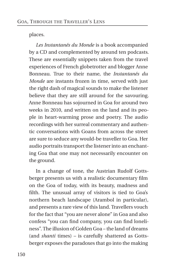places.

*Les Instantanés du Monde* is a book accompanied by a CD and complemented by around ten podcasts. These are essentially snippets taken from the travel experiences of French globetrotter and blogger Anne Bonneau. True to their name, the *Instantanés du Monde* are instants frozen in time, served with just the right dash of magical sounds to make the listener believe that they are still around for the savouring. Anne Bonneau has sojourned in Goa for around two weeks in 2010, and written on the land and its people in heart-warming prose and poetry. The audio recordings with her surreal commentary and authentic conversations with Goans from across the street are sure to seduce any would-be traveller to Goa. Her audio portraits transport the listener into an enchanting Goa that one may not necessarily encounter on the ground.

In a change of tone, the Austrian Rudolf Gottsberger presents us with a realistic documentary film on the Goa of today, with its beauty, madness and filth. The unusual array of visitors is tied to Goa's northern beach landscape (Arambol in particular), and presents a rare view of this land. Travellers vouch for the fact that "you are never alone" in Goa and also confess "you can find company, you can find loneliness". The illusion of Golden Goa – the land of dreams (and *shanti* times) – is carefully shattered as Gottsberger exposes the paradoxes that go into the making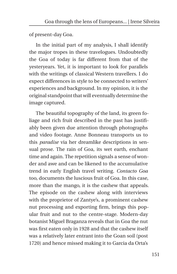of present-day Goa.

In the initial part of my analysis, I shall identify the major tropes in these travelogues. Undoubtedly the Goa of today is far different from that of the yesteryears. Yet, it is important to look for parallels with the writings of classical Western travellers. I do expect differences in style to be connected to writers' experiences and background. In my opinion, it is the original standpoint that will eventually determine the image captured.

The beautiful topography of the land, its green foliage and rich fruit described in the past has justifiably been given due attention through photographs and video footage. Anne Bonneau transports us to this *paradise* via her dreamlike descriptions in sensual prose. The rain of Goa, its wet earth, enchant time and again. The repetition signals a sense of wonder and awe and can be likened to the accumulative trend in early English travel writing. *Contacto Goa* too, documents the luscious fruit of Goa. In this case, more than the mango, it is the cashew that appeals. The episode on the cashew along with interviews with the proprietor of Zantye's*,* a prominent cashew nut processing and exporting firm, brings this popular fruit and nut to the centre-stage. Modern-day botanist Miguel Braganza reveals that in Goa the nut was first eaten only in 1928 and that the cashew itself was a relatively later entrant into the Goan soil (post 1720) and hence missed making it to Garcia da Orta's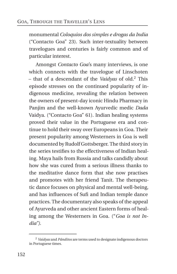monumental *Coloquios dos simples e drogas da India* ("Contacto Goa" 23). Such inter-textuality between travelogues and centuries is fairly common and of particular interest.

Amongst *Contacto Goa*'s many interviews, is one which connects with the travelogue of Linschoten – that of a descendant of the *Vaidyas* of old.[2](#page-21-0) This episode stresses on the continued popularity of indigenous medicine, revealing the relation between the owners of present-day iconic Hindu Pharmacy in Panjim and the well-known Ayurvedic medic *Dada* Vaidya. ("Contacto Goa" 61). Indian healing systems proved their value in the Portuguese era and continue to hold their sway over Europeans in Goa. Their present popularity among Westerners in Goa is well documented by Rudolf Gottsberger. The third story in the series testifies to the effectiveness of Indian healing. Maya hails from Russia and talks candidly about how she was cured from a serious illness thanks to the meditative dance form that she now practises and promotes with her friend Tanit. The therapeutic dance focuses on physical and mental well-being, and has influences of Sufi and Indian temple dance practices. The documentary also speaks of the appeal of Ayurveda and other ancient Eastern forms of healing among the Westerners in Goa. ("*Goa is not India")*.

<span id="page-21-0"></span><sup>2</sup> *Vaidyas* and *Pânditos* are terms used to designate indigenous doctors in Portuguese times.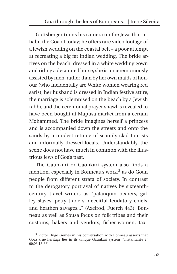Gottsberger trains his camera on the Jews that inhabit the Goa of today; he offers rare video footage of a Jewish wedding on the coastal belt – a poor attempt at recreating a big fat Indian wedding. The bride arrives on the beach, dressed in a white wedding gown and riding a decorated horse; she is unceremoniously assisted by men, rather than by her own maids of honour (who incidentally are White women wearing red saris); her husband is dressed in Indian festive attire, the marriage is solemnised on the beach by a Jewish rabbi, and the ceremonial prayer shawl is revealed to have been bought at Mapusa market from a certain Mohammed. The bride imagines herself a princess and is accompanied down the streets and onto the sands by a modest retinue of scantily clad tourists and informally dressed locals. Understandably, the scene does not have much in common with the illustrious Jews of Goa's past.

The Gaunkari or Gaonkari system also finds a mention, especially in Bonneau's work, $3$  as do Goan people from different strata of society. In contrast to the derogatory portrayal of natives by sixteenthcentury travel writers as "palanquin bearers, galley slaves, petty traders, deceitful feudatory chiefs, and heathen savages..." (Axelrod, Fuerch 443), Bonneau as well as Sousa focus on folk tribes and their customs, bakers and vendors, fisher-women, taxi-

<span id="page-22-0"></span> $3$  Victor Hugo Gomes in his conversation with Bonneau asserts that Goa's true heritage lies in its unique Gaunkari system ("Instantanés 2" 00:03:18-38)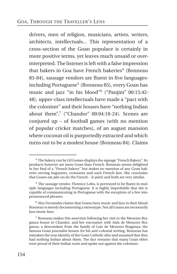drivers, men of religion, musicians, artists, writers, architects, intellectuals... This representation of a cross-section of the Goan populace is certainly in more positive terms, yet leaves much unsaid or overinterpreted. The listener is left with a false impression that bakers in Goa have French bakeries<sup>[4](#page-23-0)</sup> (Bonneau 83-84), sausage vendors are fluent in five languages-including Portuguese<sup>[5](#page-23-1)</sup> (Bonneau 85), every Goan has music and jazz "in his blood"[6](#page-23-2) ("Panjim" 00:15:42- 48), upper-class intellectuals have made a "pact with the coloniser" and their houses have "nothing Indian about them", $7$  ("Chandor" 00:04:18-24). Scenes are conjured up – of football games (with no mention of popular cricket matches), of an august mansion where coconut oil is purportedly extracted and which turns out to be a modest house (Bonneau 84). Claims

<span id="page-23-0"></span><sup>4</sup> The bakery run by Gil Gomes displays the signage "French Bakery". Its products however are more Goan than French. Bonneau seems delighted in her find of a "French bakery" but makes no mention of any Goan bakeries serving baguettes, croissants and such French fare. She concludes that Goans eat *pão* (as do the French – *le pain*) and both are very similar.

<span id="page-23-1"></span><sup>5</sup> The sausage vendor, Florence Lobo, is portrayed to be fluent in multiple languages including Portuguese. It is highly improbable that she is capable of communicating in Portuguese with the exception of a few mispronounced phrases.

<span id="page-23-2"></span><sup>6</sup> Alex Fernandes claims that Goans have music and Jazz in their blood. Bonneau is merely documenting a stereotype. Not all Goans are necessarily Jazz music fans.

<span id="page-23-3"></span><sup>7</sup> Bonneau makes this assertion following her visit to the Menezes Braganza house in Chandor, and her encounter with Aida de Menezes Braganza, a descendant from the family of Luís de Menezes Bragança, the famous Goan journalist known for his anti-colonial writing. Bonneau has mistaken the true identity of the Goan Catholic elite and assumed that they had nothing Indian about them. The fact remains that many Goan elites were proud of their Indian roots and spoke out against the colonizer.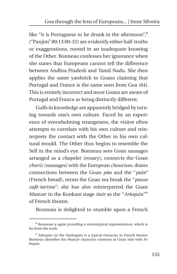like "it is Portuguese to be drunk in the afternoon",<sup>[8](#page-24-0)</sup> ("Panjim" 00:13:00-32) are evidently either half-truths or exaggerations, rooted in an inadequate knowing of the Other. Bonneau confesses her ignorance when she states that Europeans cannot tell the difference between Andhra Pradesh and Tamil Nadu. She then applies the same yardstick to Goans claiming that Portugal and France is the same seen from Goa (84). This is entirely incorrect and most Goans are aware of Portugal and France as being distinctly different.

Gulfs in knowledge are apparently bridged by turning towards one's own culture. Faced by an experience of overwhelming strangeness, the visitor often attempts to correlate with his own culture and reinterprets the contact with the Other in his own cultural mould. The Other thus begins to resemble the Self in the mind's eye. Bonneau sees Goan sausages arranged as a *chapelet* (rosary), connects the Goan *choriz* (sausages) with the European *chourisso*, draws connections between the Goan *pão* and the "*pain*" (French bread), terms the Goan tea break the "*pause café-tartine"*; she has also reinterpreted the Goan *bhatcar* in the Konkani stage *tiatr* as the "*Arlequin*" [9](#page-24-1) of French theatre.

Bonneau is delighted to stumble upon a French

<span id="page-24-0"></span><sup>8</sup> Bonneau is again providing a stereotypical representation, which is far from the truth.

<span id="page-24-1"></span> $9$  Arlequin (or the Harlequin) is a typical character in French theatre. Bonneau identifies the *bhatcar* character common in Goan *tiatr* with Arlequin.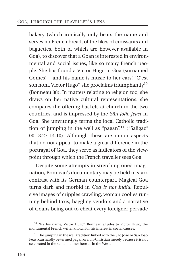bakery (which ironically only bears the name and serves no French bread, of the likes of croissants and baguettes, both of which are however available in Goa), to discover that a Goan is interested in environmental and social issues, like so many French people. She has found a Victor Hugo in Goa (surnamed Gomes) – and his name is music to her ears! "C'est son nom, Victor Hugo", she proclaims triumphantly<sup>[10](#page-25-0)</sup> (Bonneau 88). In matters relating to religion too, she draws on her native cultural representations: she compares the offering baskets at church in the two countries, and is impressed by the *Sãn João feast* in Goa. She unwittingly terms the local Catholic tradi-tion of jumping in the well as "pagan".<sup>[11](#page-25-1)</sup> ("Saligão" 00:13:27-14:10). Although these are minor aspects that do not appear to make a great difference in the portrayal of Goa, they serve as indicators of the viewpoint through which the French traveller sees Goa.

Despite some attempts in stretching one's imagination, Bonneau's documentary may be held in stark contrast with its German counterpart. Magical Goa turns dark and morbid in *Goa is not India*. Repulsive images of cripples crawling, woman coolies running behind taxis, haggling vendors and a narrative of Goans being out to cheat every foreigner pervade

<span id="page-25-0"></span><sup>&</sup>lt;sup>10</sup> "It's his name, Victor Hugo". Bonneau alludes to Victor Hugo, the monumental French writer known for his interest in social causes.

<span id="page-25-1"></span><sup>&</sup>lt;sup>11</sup> The jumping in the well tradition linked with the São João or Sãn João Feast can hardly be termed pagan or non-Christian merely because it is not celebrated in the same manner here as in the West.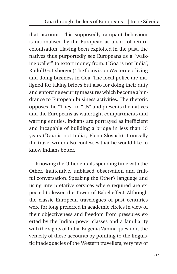that account. This supposedly rampant behaviour is rationalised by the European as a sort of return colonisation. Having been exploited in the past, the natives thus purportedly see Europeans as a "walking wallet" to extort money from. ("Goa is not India", Rudolf Gottsberger.) The focus is on Westerners living and doing business in Goa. The local police are maligned for taking bribes but also for doing their duty and enforcing security measures which become a hindrance to European business activities. The rhetoric opposes the "They" to "Us" and presents the natives and the Europeans as watertight compartments and warring entities. Indians are portrayed as inefficient and incapable of building a bridge in less than 15 years ("Goa is not India", Elena Slovush). Ironically the travel writer also confesses that he would like to know Indians better.

Knowing the Other entails spending time with the Other, inattentive, unbiased observation and fruitful conversation. Speaking the Other's language and using interpretative services where required are expected to lessen the Tower-of-Babel effect. Although the classic European travelogues of past centuries were for long preferred in academic circles in view of their objectiveness and freedom from pressures exerted by the Indian power classes and a familiarity with the sights of India, Eugenia Vanina questions the veracity of these accounts by pointing to the linguistic inadequacies of the Western travellers, very few of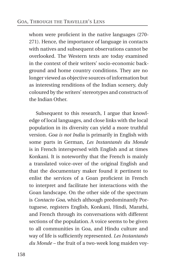whom were proficient in the native languages (270- 271). Hence, the importance of language in contacts with natives and subsequent observations cannot be overlooked. The Western texts are today examined in the context of their writers' socio-economic background and home country conditions. They are no longer viewed as objective sources of information but as interesting renditions of the Indian scenery, duly coloured by the writers' stereotypes and constructs of the Indian Other.

Subsequent to this research, I argue that knowledge of local languages, and close links with the local population in its diversity can yield a more truthful version. *Goa is not India* is primarily in English with some parts in German, *Les Instantanés du Monde* is in French interspersed with English and at times Konkani. It is noteworthy that the French is mainly a translated voice-over of the original English and that the documentary maker found it pertinent to enlist the services of a Goan proficient in French to interpret and facilitate her interactions with the Goan landscape. On the other side of the spectrum is *Contacto Goa,* which although predominantly Portuguese, registers English, Konkani, Hindi, Marathi, and French through its conversations with different sections of the population. A voice seems to be given to all communities in Goa, and Hindu culture and way of life is sufficiently represented. *Les Instantanés du Monde* – the fruit of a two-week long maiden voy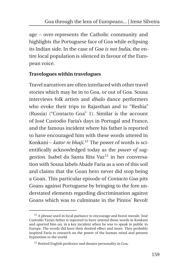age – over-represents the Catholic community and highlights the Portuguese face of Goa while eclipsing its Indian side. In the case of *Goa is not India*, the entire local population is silenced in favour of the European voice.

#### **Travelogues within travelogues**

Travel narratives are often interlaced with other travel stories which may be in to Goa, or out of Goa. Sousa interviews folk artists and *dhalo* dance performers who evoke their trips to Rajasthan and to "Reshia" (Russia) ("Contacto Goa" 1). Similar is the account of José Custodio Faria's days in Portugal and France, and the famous incident where his father is reported to have encouraged him with these words uttered in Konkani – *kator re bhaji*. [12](#page-28-0) The power of words is scientifically acknowledged today as the *power of sug-*gestion. Isabel da Santa Rita Vaz<sup>[13](#page-28-1)</sup> in her conversation with Sousa labels Abade Faria as a son of this soil and claims that the Goan hero never did stop being a Goan. This particular episode of *Contacto Goa* pits Goans against Portuguese by bringing to the fore understated elements regarding discrimination against Goans which was to culminate in the Pintos' Revolt

<span id="page-28-0"></span> $12$  A phrase used in local parlance to encourage and boost morale. José Custodio Faria's father is reported to have uttered these words in Konkani and spurred him on, in a key incident when he was to speak in public in Europe. The words did have their desired effect and more. They probably inspired Faria to research on the power of the human mind and present hypnotism to the world.

<span id="page-28-1"></span><sup>&</sup>lt;sup>13</sup> Retired English professor and theatre personality in Goa.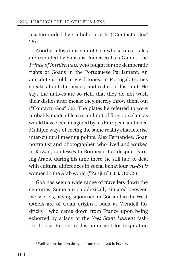masterminded by Catholic priests ("Contacto Goa" 26).

Another illustrious son of Goa whose travel tales are recorded by Sousa is Francisco Luis Gomes, the *Prince of Intellectuals*, who fought for the democratic rights of Goans in the Portuguese Parliament. An anecdote is told in vivid tones: In Portugal, Gomes speaks about the beauty and riches of his land. He says the natives are so rich, that they do not wash their dishes after meals; they merely throw them out ("Contacto Goa" 36). The plates he referred to were probably made of leaves and not of fine porcelain as would have been imagined by his European audience. Multiple ways of seeing the same reality characterise inter-cultural meeting points. Alex Fernandes, Goan portraitist and photographer, who lived and worked in Kuwait, confesses to Bonneau that despite learning Arabic during his time there, he still had to deal with cultural differences in social behaviour *vis-à-vis* women in the Arab world ("Panjim" 00:03:10-35).

Goa has seen a wide range of travellers down the centuries. Some are paradoxically situated between two worlds, having sojourned in Goa and in the West. Others are of Goan origins... such as Wendell Ro-dricks<sup>[14](#page-29-0)</sup> who came down from France upon being exhorted by a lady at the *Yves Saint Laurent* fashion house, to look to his homeland for inspiration

<span id="page-29-0"></span><sup>14</sup> Well-known fashion designer from Goa. Lived in France.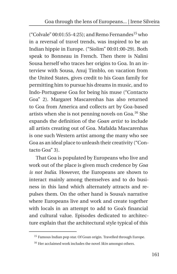("Colvale"  $00:01:55-4:25$ ); and Remo Fernandes<sup>[15](#page-30-0)</sup> who in a reversal of travel trends, was inspired to be an Indian hippie in Europe. ("Siolim" 00:01:00-29). Both speak to Bonneau in French. Then there is Nalini Sousa herself who traces her origins to Goa. In an interview with Sousa, Anuj Timblo, on vacation from the United States, gives credit to his Goan family for permitting him to pursue his dreams in music, and to Indo-Portuguese Goa for being his muse ("Contacto Goa" 2). Margaret Mascarenhas has also returned to Goa from America and collects art by Goa-based artists when she is not penning novels on Goa.[16](#page-30-1) She expands the definition of the *Goan artist* to include all artists creating out of Goa. Mafalda Mascarenhas is one such Western artist among the many who see Goa as an ideal place to unleash their creativity ("Contacto Goa" 3).

That Goa is populated by Europeans who live and work out of the place is given much credence by *Goa is not India*. However, the Europeans are shown to interact mainly among themselves and to do business in this land which alternately attracts and repulses them. On the other hand is Sousa's narrative where Europeans live and work and create together with locals in an attempt to add to Goa's financial and cultural value. Episodes dedicated to architecture explain that the architectural style typical of this

<sup>&</sup>lt;sup>15</sup> Famous Indian pop star. Of Goan origin. Travelled through Europe.

<span id="page-30-1"></span><span id="page-30-0"></span><sup>16</sup> Her acclaimed work includes the novel *Skin* amongst others.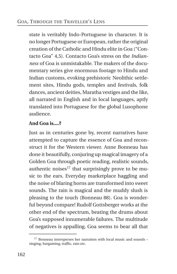state is veritably Indo-Portuguese in character. It is no longer Portuguese or European, rather the original creation of the Catholic and Hindu elite in Goa ("Contacto Goa" 4,5). Contacto Goa's stress on the *Indianness* of Goa is unmistakable. The makers of the documentary series give enormous footage to Hindu and Indian customs, evoking prehistoric Neolithic settlement sites, Hindu gods, temples and festivals, folk dances, ancient deities, Maratha vestiges and the like, all narrated in English and in local languages, aptly translated into Portuguese for the global Lusophone audience.

#### **And Goa is....?**

Just as in centuries gone by, recent narratives have attempted to capture the essence of Goa and reconstruct it for the Western viewer. Anne Bonneau has done it beautifully, conjuring up magical imagery of a Golden Goa through poetic reading, realistic sounds, authentic noises $17$  that surprisingly prove to be music to the ears. Everyday marketplace haggling and the noise of blaring horns are transformed into sweet sounds. The rain is magical and the muddy slush is pleasing to the touch (Bonneau 88). Goa is wonderful beyond compare! Rudolf Gottsberger works at the other end of the spectrum, beating the drums about Goa's supposed innumerable failures. The multitude of negatives is appalling. Goa seems to bear all that

<span id="page-31-0"></span><sup>&</sup>lt;sup>17</sup> Bonneau intersperses her narration with local music and sounds singing, bargaining, traffic, rain etc.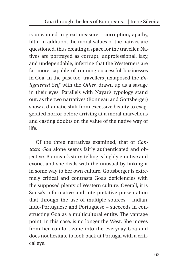is unwanted in great measure – corruption, apathy, filth. In addition, the moral values of the natives are questioned, thus creating a space for the traveller. Natives are portrayed as corrupt, unprofessional, lazy, and undependable, inferring that the Westerners are far more capable of running successful businesses in Goa. In the past too, travellers juxtaposed the *Enlightened Self* with the *Other*, drawn up as a savage in their eyes. Parallels with Nayar's typology stand out, as the two narratives (Bonneau and Gottsberger) show a dramatic shift from excessive beauty to exaggerated horror before arriving at a moral marvellous and casting doubts on the value of the native way of life.

Of the three narratives examined, that of *Contacto Goa* alone seems fairly authenticated and objective. Bonneau's story-telling is highly emotive and exotic, and she deals with the unusual by linking it in some way to her own culture. Gottsberger is extremely critical and contrasts Goa's deficiencies with the supposed plenty of Western culture. Overall, it is Sousa's informative and interpretative presentation that through the use of multiple sources – Indian, Indo-Portuguese and Portuguese – succeeds in constructing Goa as a multicultural entity. The vantage point, in this case, is no longer the West. She moves from her comfort zone into the everyday Goa and does not hesitate to look back at Portugal with a critical eye.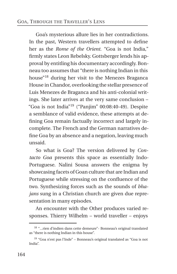Goa's mysterious allure lies in her contradictions. In the past, Western travellers attempted to define her as the *Rome of the Orient*. "Goa is not India," firmly states Leon Rebelsky. Gottsberger lends his approval by entitling his documentary accordingly. Bonneau too assumes that "there is nothing Indian in this house"[18](#page-33-0) during her visit to the Menezes Braganca House in Chandor, overlooking the stellar presence of Luis Menezes de Braganca and his anti-colonial writings. She later arrives at the very same conclusion – "Goa is not India"[19](#page-33-1) ("Panjim" 00:08:40-49). Despite a semblance of valid evidence, these attempts at defining Goa remain factually incorrect and largely incomplete. The French and the German narratives define Goa by an absence and a negation, leaving much unsaid.

So what is Goa? The version delivered by *Contacto Goa* presents this space as essentially Indo-Portuguese. Nalini Sousa answers the enigma by showcasing facets of Goan culture that are Indian and Portuguese while stressing on the confluence of the two. Synthesizing forces such as the sounds of *bhajans* sung in a Christian church are given due representation in many episodes.

An encounter with the Other produces varied responses. Thierry Wilhelm – world traveller – enjoys

<span id="page-33-0"></span><sup>18</sup> "...rien d'indien dans cette demeure"- Bonneau's original translated as "there is nothing Indian in this house".

<span id="page-33-1"></span><sup>19</sup> "Goa n'est pas l'Inde" – Bonneau's original translated as "Goa is not India".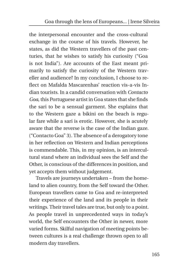the interpersonal encounter and the cross-cultural exchange in the course of his travels. However, he states, as did the Western travellers of the past centuries, that he wishes to satisfy his curiosity ("Goa is not India"). Are accounts of the East meant primarily to satisfy the curiosity of the Western traveller and audience? In my conclusion, I choose to reflect on Mafalda Mascarenhas' reaction vis-a-vis Indian tourists. In a candid conversation with *Contacto Goa*, this Portuguese artist in Goa states that she finds the sari to be a sensual garment. She explains that to the Western gaze a bikini on the beach is regular fare while a sari is erotic. However, she is acutely aware that the reverse is the case of the Indian gaze. ("Contacto Goa" 3). The absence of a derogatory tone in her reflection on Western and Indian perceptions is commendable. This, in my opinion, is an intercultural stand where an individual sees the Self and the Other, is conscious of the differences in position, and yet accepts them without judgement.

Travels are journeys undertaken – from the homeland to alien country, from the Self toward the Other. European travellers came to Goa and re-interpreted their experience of the land and its people in their writings. Their travel tales are true, but only to a point. As people travel in unprecedented ways in today's world, the Self encounters the Other in newer, more varied forms. Skilful navigation of meeting points between cultures is a real challenge thrown open to all modern day travellers.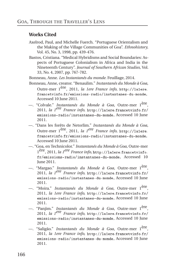#### **Works Cited**

- Axelrod, Paul, and Michelle Fuerch. "Portuguese Orientalism and the Making of the Village Communities of Goa". *Ethnohistory,* Vol. 45, No. 3, 1998, pp. 439-476.
- Bastos, Cristiana. "Medical Hybridisms and Social Boundaries: Aspects of Portuguese Colonialism in Africa and India in the Nineteenth Century". *Journal of Southern African Studies,* Vol. 33, No. 4, 2007, pp. 767-782.
- Bonneau, Anne. *Les Instantanés du monde.* Feuillage, 2014.
- Bonneau, Anne, creator. "Benaulim." *Instantanés du Monde à Goa*, Outre-mer 1ère, 2011, *la 1ere France info,* http://la1ere[.](http://la1ere.francetvinfo.fr/emissions-radio/instantanes-du-monde ) fran
etvinfo.[fr/emissions-radio/instantanes-du-monde](http://la1ere.francetvinfo.fr/emissions-radio/instantanes-du-monde ), Accessed 10 June 2011.
- —. "Colvale." *Instantanés du Monde à Goa*, Outre-mer 1ère , 2011, *la 1ere France info,* http://la1ere[.](http://la1ere.francetvinfo.fr/emissions-radio/instantanes-du-monde )fran
etvinfo.fr/ [emissions-radio/instantanes-du-monde](http://la1ere.francetvinfo.fr/emissions-radio/instantanes-du-monde ), Accessed 10 June 2011.
- —. "Dans les forêts de Netorlim." *Instantanés du Monde à Goa*, Outre-mer 1ère, 2011, *la 1ere France info,* http://la1ere[.](http://la1ere.francetvinfo.fr/emissions-radio/instantanes-du-monde ) fran
etvinfo.[fr/emissions-radio/instantanes-du-monde](http://la1ere.francetvinfo.fr/emissions-radio/instantanes-du-monde ), Accessed 10 June 2011.
- —. "Goa, en Technicolor." *Instantanés du Monde à Goa*, Outre-mer 1 ère, 2011, *la 1ere France info,* http://la1ere[.](http://la1ere.francetvinfo.fr/emissions-radio/instantanes-du-monde )fran
etvinfo. [fr/emissions-radio/instantanes-du-monde](http://la1ere.francetvinfo.fr/emissions-radio/instantanes-du-monde ), Accessed 10 June 2011.
- —. "Margao." *Instantanés du Monde à Goa*, Outre-mer 1ère , 2011, *la 1ere France info,* http://la1ere[.](http://la1ere.francetvinfo.fr/emissions-radio/instantanes-du-monde )fran
etvinfo.fr/ [emissions-radio/instantanes-du-monde](http://la1ere.francetvinfo.fr/emissions-radio/instantanes-du-monde ), Accessed 10 June 2011.
- —. "Moira." *Instantanés du Monde à Goa*, Outre-mer 1ère , 2011, *la 1ere France info,* http://la1ere[.](http://la1ere.francetvinfo.fr/emissions-radio/instantanes-du-monde )fran
etvinfo.fr/ [emissions-radio/instantanes-du-monde](http://la1ere.francetvinfo.fr/emissions-radio/instantanes-du-monde ), Accessed 10 June 2011.
- —. "Panjim." *Instantanés du Monde à Goa*, Outre-mer 1ère , 2011, *la 1ere France info,* http://la1ere[.](http://la1ere.francetvinfo.fr/emissions-radio/instantanes-du-monde )fran
etvinfo.fr/ [emissions-radio/instantanes-du-monde](http://la1ere.francetvinfo.fr/emissions-radio/instantanes-du-monde ), Accessed 10 June 2011.
- —. "Saligão." *Instantanés du Monde à Goa*, Outre-mer 1ère , 2011, *la 1ere France info,* http://la1ere[.](http://la1ere.francetvinfo.fr/emissions-radio/instantanes-du-monde )fran
etvinfo.fr/ [emissions-radio/instantanes-du-monde](http://la1ere.francetvinfo.fr/emissions-radio/instantanes-du-monde ), Accessed 10 June 2011.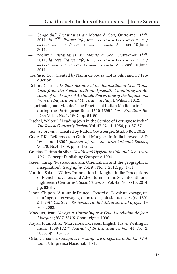- —. "Sangolda." *Instantanés du Monde à Goa*, Outre-mer 1ère , 2011, *la 1ere France info,* http://la1ere[.](http://la1ere.francetvinfo.fr/emissions-radio/instantanes-du-monde)fran
etvinfo.fr/ [emissions-radio/instantanes-du-monde](http://la1ere.francetvinfo.fr/emissions-radio/instantanes-du-monde), Accessed 10 June 2011.
- —. "Siolim." *Instantanés du Monde à Goa*, Outre-mer 1ère , 2011, *la 1ere France info,* http://la1ere[.](http://la1ere.francetvinfo.fr/emissions-radio/instantanes-du-monde)fran
etvinfo.fr/ [emissions-radio/instantanes-du-monde](http://la1ere.francetvinfo.fr/emissions-radio/instantanes-du-monde), Accessed 10 June 2011.
- *Contacto Goa.* Created by Nalini de Sousa, Lotus Film and TV Production.
- Dellon, Charles. *Dellon's Account of the Inquisition at Goa: Translated from the French: with an Appendix Containing an Account of the Escape of Archibald Bower, (one of the Inquisitors) from the Inquisition, at Maçerata, in Italy.* I. Wilson, 1812.
- Figueiredo, Joao. M.P. de. "The Practice of Indian Medicine in Goa during the Portuguese Rule, 1510-1699". *Luso-Brazilian Review,* Vol. 4, No. 1, 1967, pp. 51-60.
- Fischel, Walter J. "Leading Jews in the Service of Portuguese India". *The Jewish Quarterly Review,* Vol. 47, No. 1, 1956, pp. 37-57.
- *Goa is not India.* Created by Rudolf Gottsberger. Studio Rot, 2012.
- Gode, P.K. "References to Grafted Mangoes in India between A.D. 1600 and 1800". *Journal of the American Oriental Society*, Vol.79, No.4, 1959, pp. 281-282.
- Gracias, Fatima da Silva.*Health and Hygiene in Colonial Goa, 1510- 1961.* Concept Publishing Company, 1994.
- Jazeel, Tariq. "Postcolonialism: Orientalism and the geographical imagination". *Geography,* Vol. 97, No. 1, 2012, pp. 4-11.
- Kundra, Sakul. "Widow Immolation in Mughal India: Perceptions of French Travellers and Adventurers in the Seventeenth and Eighteenth Centuries". *Social Scientist,* Vol. 42, No. 9/10, 2014, pp. 63-84.
- Linon-Chipon. "Autour de François Pyrard de Laval: un voyage, un naufrage, deux voyages, deux textes, plusieurs textes (de 1601 à 1679)". *Centre de Recherche sur la Littérature des Voyages.* 19 Feb. 2002.
- Mocquet, Jean. *Voyage a Mozambique & Goa: La relation de Jean Mocquet (1607-1610).* Chandeigne, 1996.
- Nayar, Pramod. K. "Marvelous Excesses: English Travel Writing in India, 1608-1727". *Journal of British Studies*, Vol. 44, No. 2, 2005, pp. 213-238.
- Orta, Garcia da. *Coloquios dos simples e drogas da India [...] [Volume I].* Imprensa Nacional, 1891.